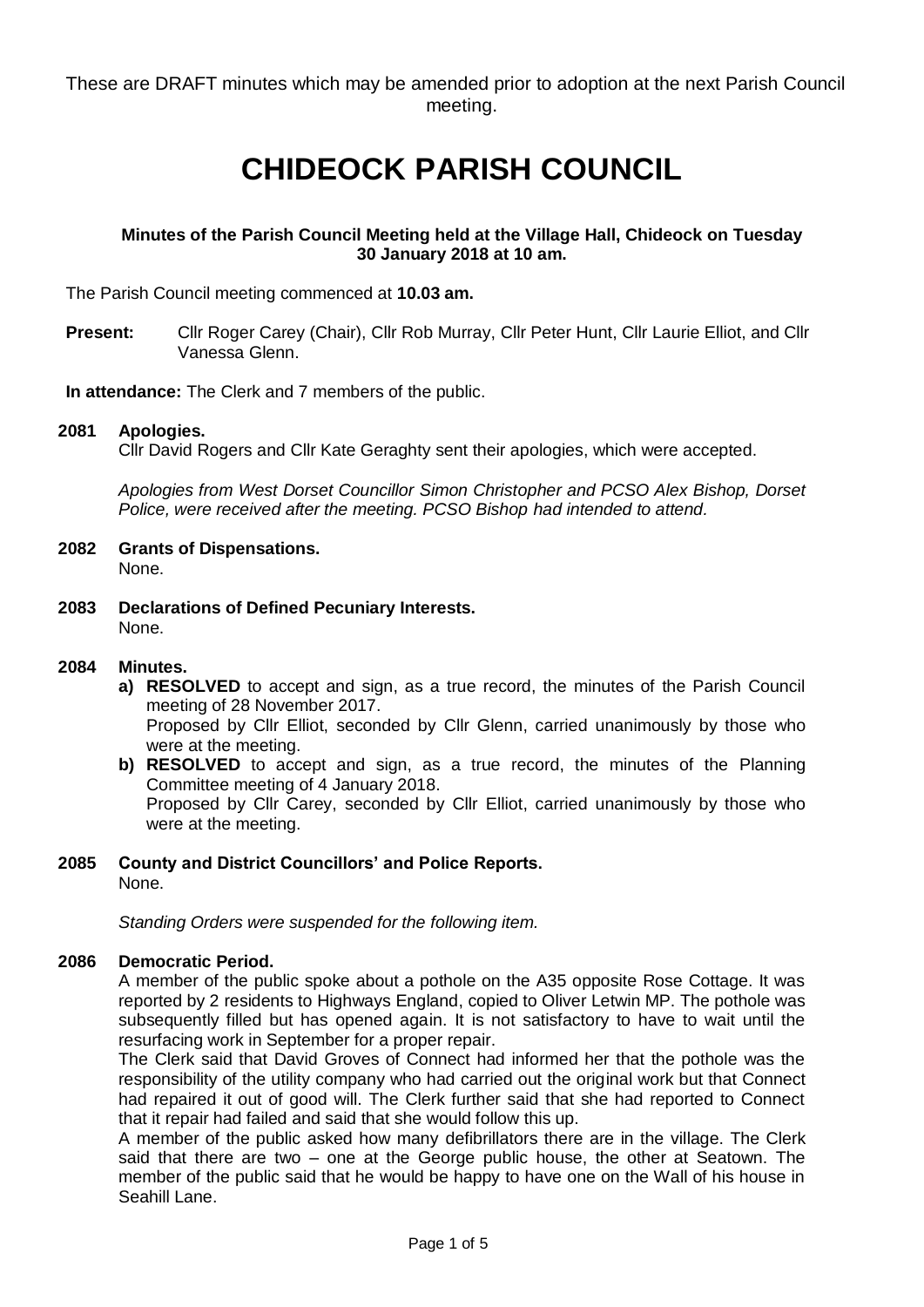These are DRAFT minutes which may be amended prior to adoption at the next Parish Council meeting.

# **CHIDEOCK PARISH COUNCIL**

# **Minutes of the Parish Council Meeting held at the Village Hall, Chideock on Tuesday 30 January 2018 at 10 am.**

The Parish Council meeting commenced at **10.03 am.**

**Present:** Cllr Roger Carey (Chair), Cllr Rob Murray, Cllr Peter Hunt, Cllr Laurie Elliot, and Cllr Vanessa Glenn.

**In attendance:** The Clerk and 7 members of the public.

#### **2081 Apologies.**

Cllr David Rogers and Cllr Kate Geraghty sent their apologies, which were accepted.

*Apologies from West Dorset Councillor Simon Christopher and PCSO Alex Bishop, Dorset Police, were received after the meeting. PCSO Bishop had intended to attend.*

- **2082 Grants of Dispensations.**  None.
- **2083 Declarations of Defined Pecuniary Interests.** None.

#### **2084 Minutes.**

- **a) RESOLVED** to accept and sign, as a true record, the minutes of the Parish Council meeting of 28 November 2017. Proposed by Cllr Elliot, seconded by Cllr Glenn, carried unanimously by those who were at the meeting.
- **b) RESOLVED** to accept and sign, as a true record, the minutes of the Planning Committee meeting of 4 January 2018. Proposed by Cllr Carey, seconded by Cllr Elliot, carried unanimously by those who were at the meeting.

#### **2085 County and District Councillors' and Police Reports.** None.

*Standing Orders were suspended for the following item.*

# **2086 Democratic Period.**

A member of the public spoke about a pothole on the A35 opposite Rose Cottage. It was reported by 2 residents to Highways England, copied to Oliver Letwin MP. The pothole was subsequently filled but has opened again. It is not satisfactory to have to wait until the resurfacing work in September for a proper repair.

The Clerk said that David Groves of Connect had informed her that the pothole was the responsibility of the utility company who had carried out the original work but that Connect had repaired it out of good will. The Clerk further said that she had reported to Connect that it repair had failed and said that she would follow this up.

A member of the public asked how many defibrillators there are in the village. The Clerk said that there are two – one at the George public house, the other at Seatown. The member of the public said that he would be happy to have one on the Wall of his house in Seahill Lane.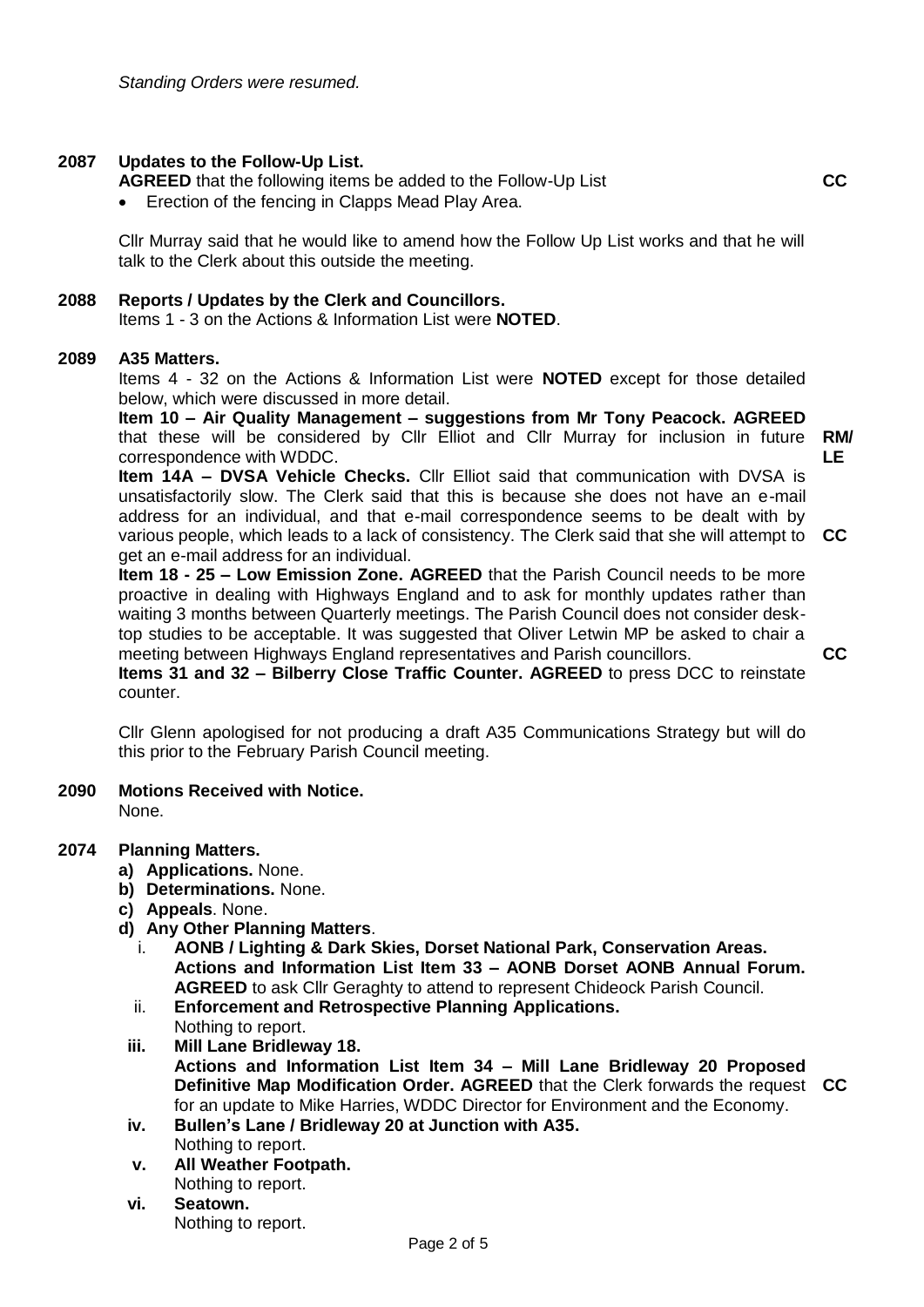# **2087 Updates to the Follow-Up List.**

- **AGREED** that the following items be added to the Follow-Up List
- Erection of the fencing in Clapps Mead Play Area.

Cllr Murray said that he would like to amend how the Follow Up List works and that he will talk to the Clerk about this outside the meeting.

#### **2088 Reports / Updates by the Clerk and Councillors.**

Items 1 - 3 on the Actions & Information List were **NOTED**.

#### **2089 A35 Matters.**

Items 4 - 32 on the Actions & Information List were **NOTED** except for those detailed below, which were discussed in more detail.

**Item 10 – Air Quality Management – suggestions from Mr Tony Peacock. AGREED** that these will be considered by Cllr Elliot and Cllr Murray for inclusion in future **RM/** correspondence with WDDC. **LE**

**Item 14A – DVSA Vehicle Checks.** Cllr Elliot said that communication with DVSA is unsatisfactorily slow. The Clerk said that this is because she does not have an e-mail address for an individual, and that e-mail correspondence seems to be dealt with by various people, which leads to a lack of consistency. The Clerk said that she will attempt to **CC** get an e-mail address for an individual.

**Item 18 - 25 – Low Emission Zone. AGREED** that the Parish Council needs to be more proactive in dealing with Highways England and to ask for monthly updates rather than waiting 3 months between Quarterly meetings. The Parish Council does not consider desktop studies to be acceptable. It was suggested that Oliver Letwin MP be asked to chair a meeting between Highways England representatives and Parish councillors. **Items 31 and 32 – Bilberry Close Traffic Counter. AGREED** to press DCC to reinstate

**CC**

**CC**

counter. Cllr Glenn apologised for not producing a draft A35 Communications Strategy but will do

**2090 Motions Received with Notice.**

None.

#### **2074 Planning Matters.**

- **a) Applications.** None.
- **b) Determinations.** None.
- **c) Appeals**. None.
- **d) Any Other Planning Matters**.

this prior to the February Parish Council meeting.

- i. **AONB / Lighting & Dark Skies, Dorset National Park, Conservation Areas. Actions and Information List Item 33 – AONB Dorset AONB Annual Forum. AGREED** to ask Cllr Geraghty to attend to represent Chideock Parish Council.
- ii. **Enforcement and Retrospective Planning Applications.**  Nothing to report.
- **iii. Mill Lane Bridleway 18.**

**Actions and Information List Item 34 – Mill Lane Bridleway 20 Proposed Definitive Map Modification Order. AGREED** that the Clerk forwards the request **CC**for an update to Mike Harries, WDDC Director for Environment and the Economy.

- **iv. Bullen's Lane / Bridleway 20 at Junction with A35.** Nothing to report.
- **v. All Weather Footpath.**  Nothing to report.
- **vi. Seatown.** Nothing to report.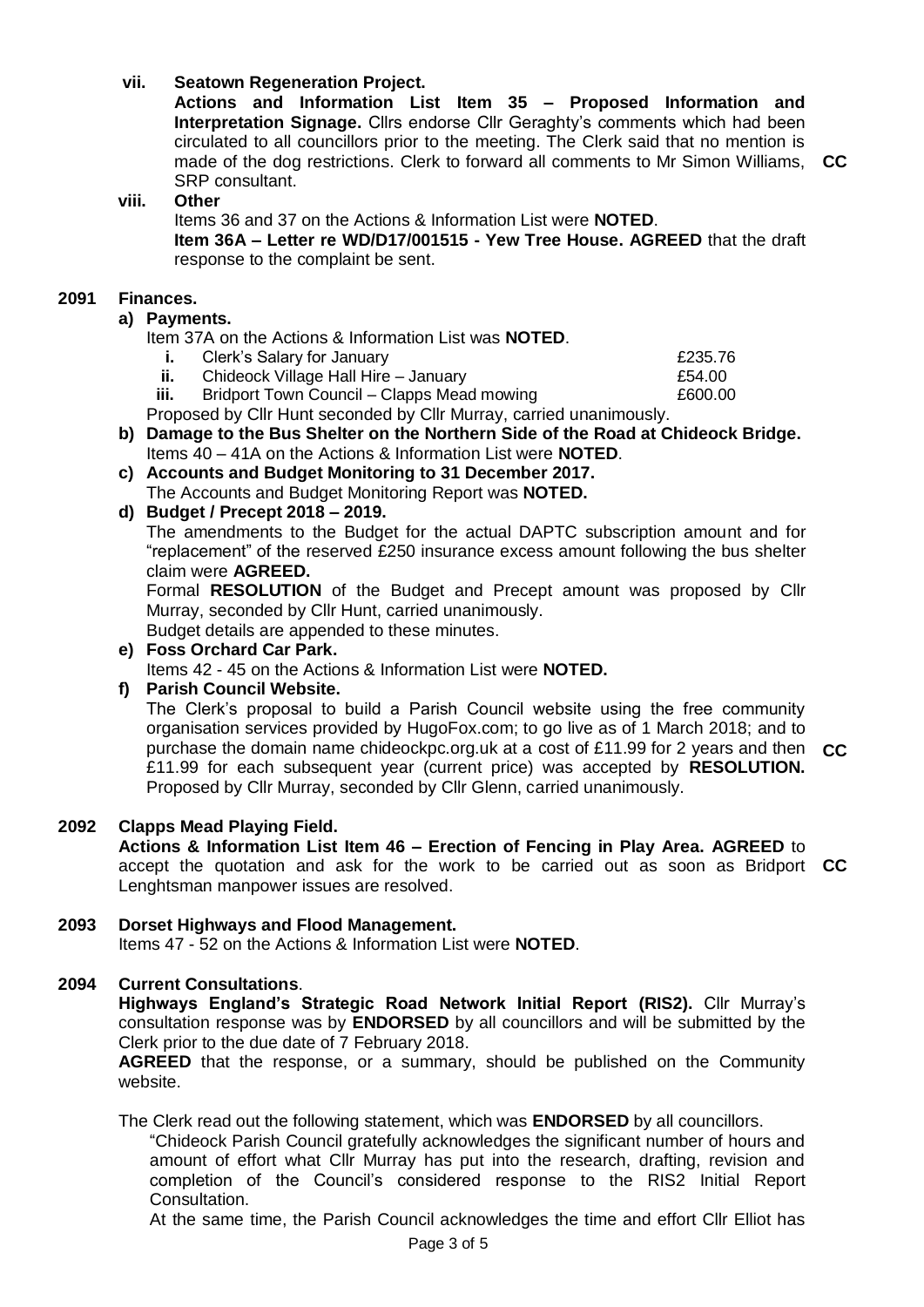# **vii. Seatown Regeneration Project.**

**Actions and Information List Item 35 – Proposed Information and Interpretation Signage.** Cllrs endorse Cllr Geraghty's comments which had been circulated to all councillors prior to the meeting. The Clerk said that no mention is made of the dog restrictions. Clerk to forward all comments to Mr Simon Williams, **CC** SRP consultant.

#### **viii. Other**

Items 36 and 37 on the Actions & Information List were **NOTED**.

**Item 36A – Letter re WD/D17/001515 - Yew Tree House. AGREED** that the draft response to the complaint be sent.

# **2091 Finances.**

#### **a) Payments.**

Item 37A on the Actions & Information List was **NOTED**.

- **i.** Clerk's Salary for January **E235.76**
- **ii.** Chideock Village Hall Hire January **E54.00**
- **iii.** Bridport Town Council Clapps Mead mowing **E600.00**

Proposed by Cllr Hunt seconded by Cllr Murray, carried unanimously.

- **b) Damage to the Bus Shelter on the Northern Side of the Road at Chideock Bridge.** Items 40 – 41A on the Actions & Information List were **NOTED**.
- **c) Accounts and Budget Monitoring to 31 December 2017.** The Accounts and Budget Monitoring Report was **NOTED.**

# **d) Budget / Precept 2018 – 2019.**

The amendments to the Budget for the actual DAPTC subscription amount and for "replacement" of the reserved £250 insurance excess amount following the bus shelter claim were **AGREED.**

Formal **RESOLUTION** of the Budget and Precept amount was proposed by Cllr Murray, seconded by Cllr Hunt, carried unanimously.

Budget details are appended to these minutes.

**e) Foss Orchard Car Park.** Items 42 - 45 on the Actions & Information List were **NOTED.**

# **f) Parish Council Website.**

The Clerk's proposal to build a Parish Council website using the free community organisation services provided by HugoFox.com; to go live as of 1 March 2018; and to purchase the domain name chideockpc.org.uk at a cost of £11.99 for 2 years and then **CC** £11.99 for each subsequent year (current price) was accepted by **RESOLUTION.**  Proposed by Cllr Murray, seconded by Cllr Glenn, carried unanimously.

# **2092 Clapps Mead Playing Field.**

**Actions & Information List Item 46 – Erection of Fencing in Play Area. AGREED** to accept the quotation and ask for the work to be carried out as soon as Bridport **CC** Lenghtsman manpower issues are resolved.

# **2093 Dorset Highways and Flood Management.**

Items 47 - 52 on the Actions & Information List were **NOTED**.

# **2094 Current Consultations**.

**Highways England's Strategic Road Network Initial Report (RIS2).** Cllr Murray's consultation response was by **ENDORSED** by all councillors and will be submitted by the Clerk prior to the due date of 7 February 2018.

**AGREED** that the response, or a summary, should be published on the Community website.

The Clerk read out the following statement, which was **ENDORSED** by all councillors.

"Chideock Parish Council gratefully acknowledges the significant number of hours and amount of effort what Cllr Murray has put into the research, drafting, revision and completion of the Council's considered response to the RIS2 Initial Report Consultation.

At the same time, the Parish Council acknowledges the time and effort Cllr Elliot has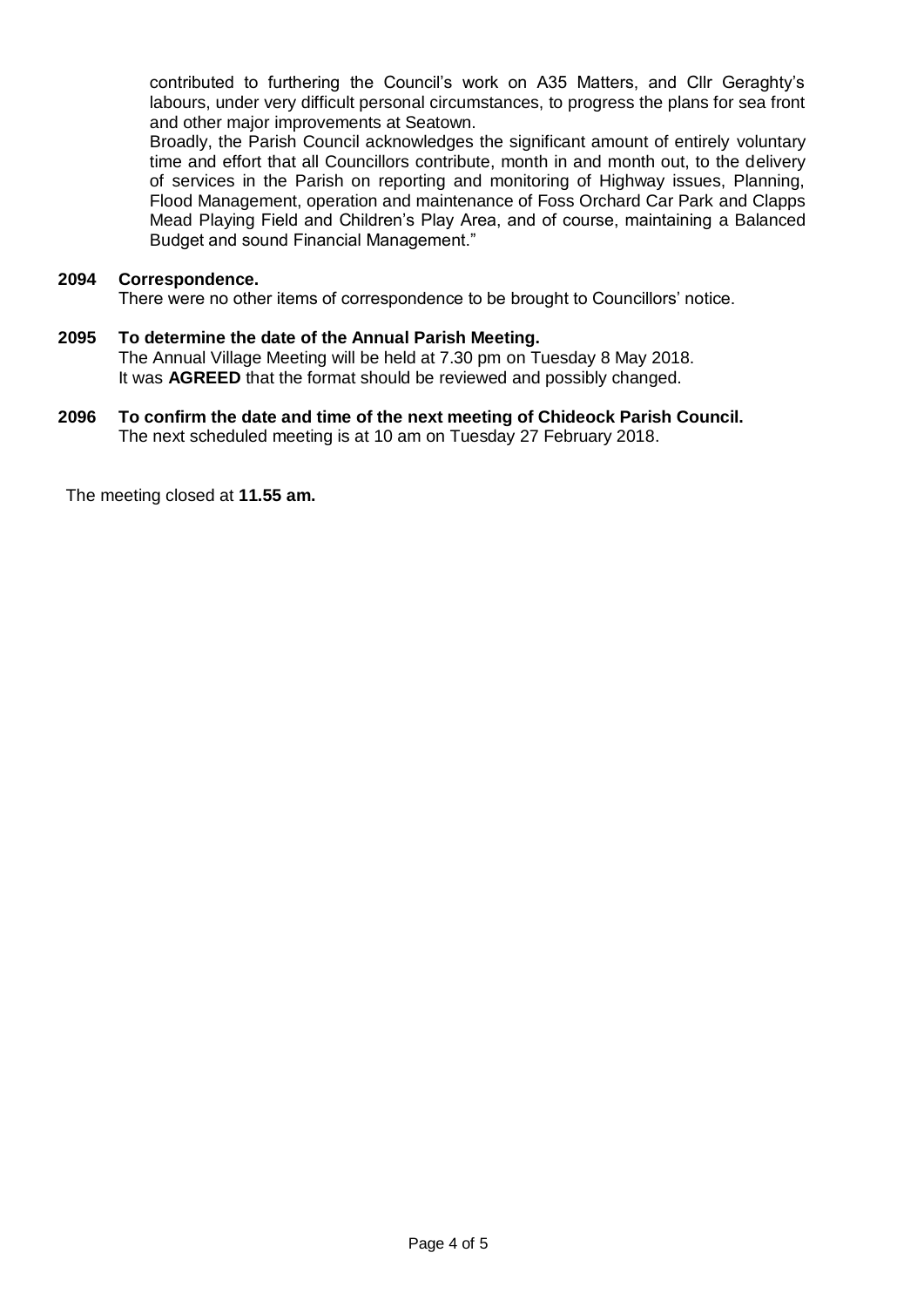contributed to furthering the Council's work on A35 Matters, and Cllr Geraghty's labours, under very difficult personal circumstances, to progress the plans for sea front and other major improvements at Seatown.

Broadly, the Parish Council acknowledges the significant amount of entirely voluntary time and effort that all Councillors contribute, month in and month out, to the delivery of services in the Parish on reporting and monitoring of Highway issues, Planning, Flood Management, operation and maintenance of Foss Orchard Car Park and Clapps Mead Playing Field and Children's Play Area, and of course, maintaining a Balanced Budget and sound Financial Management."

#### **2094 Correspondence.**

There were no other items of correspondence to be brought to Councillors' notice.

# **2095 To determine the date of the Annual Parish Meeting.**

The Annual Village Meeting will be held at 7.30 pm on Tuesday 8 May 2018. It was **AGREED** that the format should be reviewed and possibly changed.

#### **2096 To confirm the date and time of the next meeting of Chideock Parish Council.** The next scheduled meeting is at 10 am on Tuesday 27 February 2018.

The meeting closed at **11.55 am.**